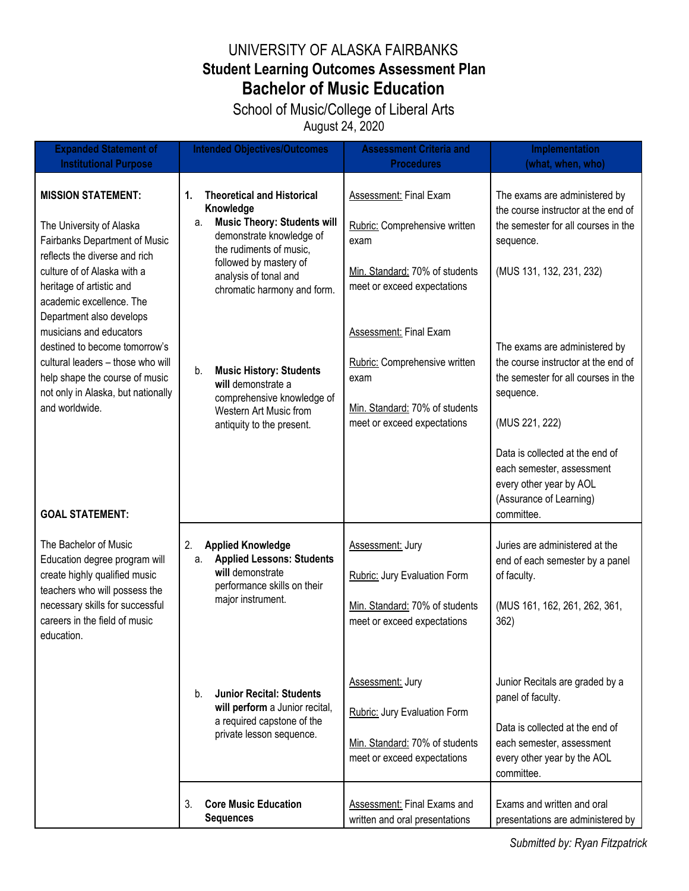## UNIVERSITY OF ALASKA FAIRBANKS **Student Learning Outcomes Assessment Plan Bachelor of Music Education**

School of Music/College of Liberal Arts August 24, 2020

| <b>Expanded Statement of</b>                                                                                                                                                                                                                                                                                                                                                                                                          | <b>Intended Objectives/Outcomes</b>                                                                                                                                                                                                       | <b>Assessment Criteria and</b>                                                                                                   | Implementation                                                                                                                                                    |
|---------------------------------------------------------------------------------------------------------------------------------------------------------------------------------------------------------------------------------------------------------------------------------------------------------------------------------------------------------------------------------------------------------------------------------------|-------------------------------------------------------------------------------------------------------------------------------------------------------------------------------------------------------------------------------------------|----------------------------------------------------------------------------------------------------------------------------------|-------------------------------------------------------------------------------------------------------------------------------------------------------------------|
| <b>Institutional Purpose</b>                                                                                                                                                                                                                                                                                                                                                                                                          |                                                                                                                                                                                                                                           | <b>Procedures</b>                                                                                                                | (what, when, who)                                                                                                                                                 |
| <b>MISSION STATEMENT:</b><br>The University of Alaska<br>Fairbanks Department of Music<br>reflects the diverse and rich<br>culture of of Alaska with a<br>heritage of artistic and<br>academic excellence. The<br>Department also develops<br>musicians and educators<br>destined to become tomorrow's<br>cultural leaders - those who will<br>help shape the course of music<br>not only in Alaska, but nationally<br>and worldwide. | 1.<br><b>Theoretical and Historical</b><br>Knowledge<br><b>Music Theory: Students will</b><br>а.<br>demonstrate knowledge of<br>the rudiments of music,<br>followed by mastery of<br>analysis of tonal and<br>chromatic harmony and form. | Assessment: Final Exam<br>Rubric: Comprehensive written<br>exam<br>Min. Standard: 70% of students<br>meet or exceed expectations | The exams are administered by<br>the course instructor at the end of<br>the semester for all courses in the<br>sequence.<br>(MUS 131, 132, 231, 232)              |
|                                                                                                                                                                                                                                                                                                                                                                                                                                       | <b>Music History: Students</b><br>b.<br>will demonstrate a<br>comprehensive knowledge of<br>Western Art Music from<br>antiquity to the present.                                                                                           | Assessment: Final Exam<br>Rubric: Comprehensive written<br>exam<br>Min. Standard: 70% of students<br>meet or exceed expectations | The exams are administered by<br>the course instructor at the end of<br>the semester for all courses in the<br>sequence.<br>(MUS 221, 222)                        |
| <b>GOAL STATEMENT:</b>                                                                                                                                                                                                                                                                                                                                                                                                                |                                                                                                                                                                                                                                           |                                                                                                                                  | Data is collected at the end of<br>each semester, assessment<br>every other year by AOL<br>(Assurance of Learning)<br>committee.                                  |
| The Bachelor of Music<br>Education degree program will<br>create highly qualified music<br>teachers who will possess the<br>necessary skills for successful<br>careers in the field of music<br>education.                                                                                                                                                                                                                            | 2.<br><b>Applied Knowledge</b><br><b>Applied Lessons: Students</b><br>a.<br>will demonstrate<br>performance skills on their<br>major instrument.                                                                                          | Assessment: Jury<br>Rubric: Jury Evaluation Form<br>Min. Standard: 70% of students<br>meet or exceed expectations                | Juries are administered at the<br>end of each semester by a panel<br>of faculty.<br>(MUS 161, 162, 261, 262, 361,<br>362)                                         |
|                                                                                                                                                                                                                                                                                                                                                                                                                                       | <b>Junior Recital: Students</b><br>b.<br>will perform a Junior recital,<br>a required capstone of the<br>private lesson sequence.                                                                                                         | <b>Assessment: Jury</b><br>Rubric: Jury Evaluation Form<br>Min. Standard: 70% of students<br>meet or exceed expectations         | Junior Recitals are graded by a<br>panel of faculty.<br>Data is collected at the end of<br>each semester, assessment<br>every other year by the AOL<br>committee. |
|                                                                                                                                                                                                                                                                                                                                                                                                                                       | 3.<br><b>Core Music Education</b><br><b>Sequences</b>                                                                                                                                                                                     | <b>Assessment: Final Exams and</b><br>written and oral presentations                                                             | Exams and written and oral<br>presentations are administered by                                                                                                   |

*Submitted by: Ryan Fitzpatrick*